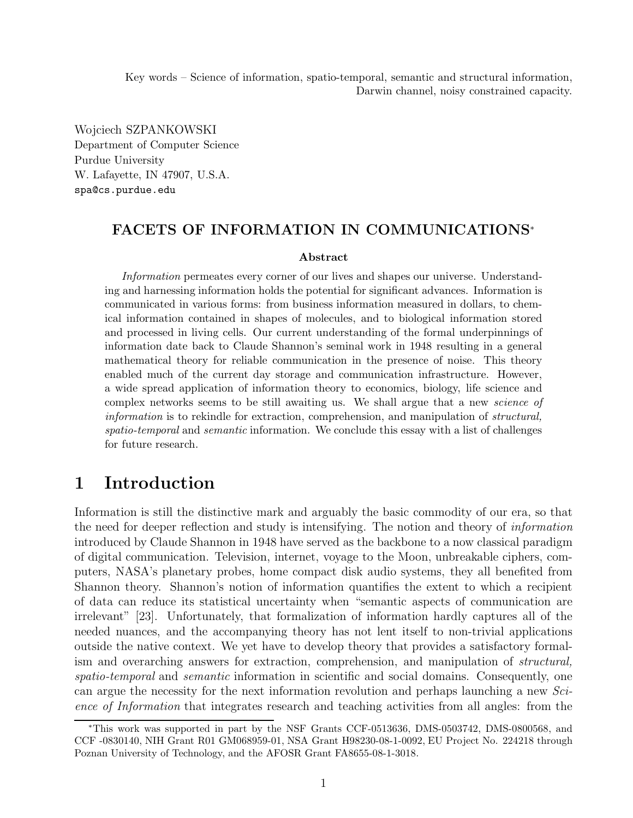Key words – Science of information, spatio-temporal, semantic and structural information, Darwin channel, noisy constrained capacity.

Wojciech SZPANKOWSKI Department of Computer Science Purdue University W. Lafayette, IN 47907, U.S.A. spa@cs.purdue.edu

#### FACETS OF INFORMATION IN COMMUNICATIONS<sup>∗</sup>

#### Abstract

Information permeates every corner of our lives and shapes our universe. Understanding and harnessing information holds the potential for significant advances. Information is communicated in various forms: from business information measured in dollars, to chemical information contained in shapes of molecules, and to biological information stored and processed in living cells. Our current understanding of the formal underpinnings of information date back to Claude Shannon's seminal work in 1948 resulting in a general mathematical theory for reliable communication in the presence of noise. This theory enabled much of the current day storage and communication infrastructure. However, a wide spread application of information theory to economics, biology, life science and complex networks seems to be still awaiting us. We shall argue that a new *science of* information is to rekindle for extraction, comprehension, and manipulation of *structural*, spatio-temporal and semantic information. We conclude this essay with a list of challenges for future research.

# 1 Introduction

Information is still the distinctive mark and arguably the basic commodity of our era, so that the need for deeper reflection and study is intensifying. The notion and theory of information introduced by Claude Shannon in 1948 have served as the backbone to a now classical paradigm of digital communication. Television, internet, voyage to the Moon, unbreakable ciphers, computers, NASA's planetary probes, home compact disk audio systems, they all benefited from Shannon theory. Shannon's notion of information quantifies the extent to which a recipient of data can reduce its statistical uncertainty when "semantic aspects of communication are irrelevant" [23]. Unfortunately, that formalization of information hardly captures all of the needed nuances, and the accompanying theory has not lent itself to non-trivial applications outside the native context. We yet have to develop theory that provides a satisfactory formalism and overarching answers for extraction, comprehension, and manipulation of structural, spatio-temporal and semantic information in scientific and social domains. Consequently, one can argue the necessity for the next information revolution and perhaps launching a new Science of Information that integrates research and teaching activities from all angles: from the

<sup>∗</sup>This work was supported in part by the NSF Grants CCF-0513636, DMS-0503742, DMS-0800568, and CCF -0830140, NIH Grant R01 GM068959-01, NSA Grant H98230-08-1-0092, EU Project No. 224218 through Poznan University of Technology, and the AFOSR Grant FA8655-08-1-3018.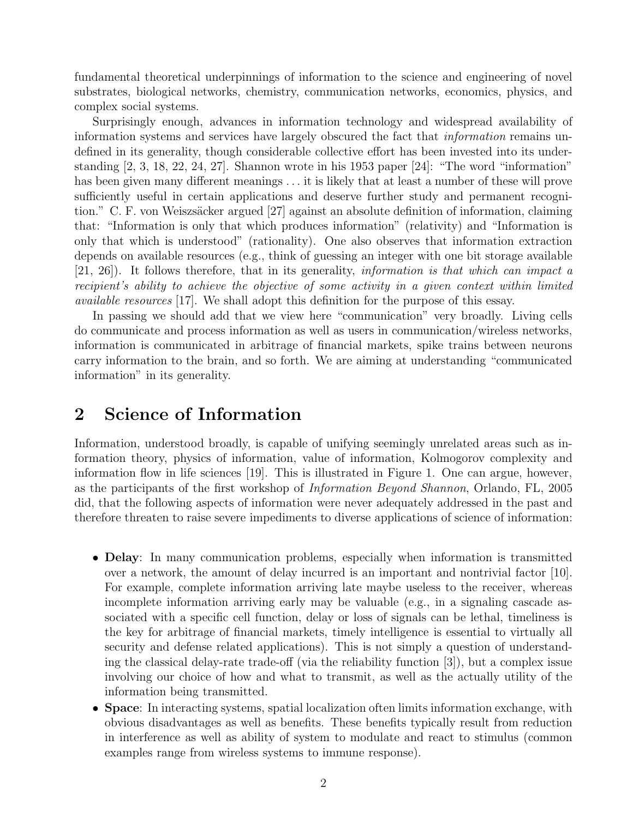fundamental theoretical underpinnings of information to the science and engineering of novel substrates, biological networks, chemistry, communication networks, economics, physics, and complex social systems.

Surprisingly enough, advances in information technology and widespread availability of information systems and services have largely obscured the fact that information remains undefined in its generality, though considerable collective effort has been invested into its understanding [2, 3, 18, 22, 24, 27]. Shannon wrote in his 1953 paper [24]: "The word "information" has been given many different meanings ... it is likely that at least a number of these will prove sufficiently useful in certain applications and deserve further study and permanent recognition." C. F. von Weiszsäcker argued  $[27]$  against an absolute definition of information, claiming that: "Information is only that which produces information" (relativity) and "Information is only that which is understood" (rationality). One also observes that information extraction depends on available resources (e.g., think of guessing an integer with one bit storage available [21, 26]). It follows therefore, that in its generality, information is that which can impact a recipient's ability to achieve the objective of some activity in a given context within limited available resources [17]. We shall adopt this definition for the purpose of this essay.

In passing we should add that we view here "communication" very broadly. Living cells do communicate and process information as well as users in communication/wireless networks, information is communicated in arbitrage of financial markets, spike trains between neurons carry information to the brain, and so forth. We are aiming at understanding "communicated information" in its generality.

## 2 Science of Information

Information, understood broadly, is capable of unifying seemingly unrelated areas such as information theory, physics of information, value of information, Kolmogorov complexity and information flow in life sciences [19]. This is illustrated in Figure 1. One can argue, however, as the participants of the first workshop of Information Beyond Shannon, Orlando, FL, 2005 did, that the following aspects of information were never adequately addressed in the past and therefore threaten to raise severe impediments to diverse applications of science of information:

- Delay: In many communication problems, especially when information is transmitted over a network, the amount of delay incurred is an important and nontrivial factor [10]. For example, complete information arriving late maybe useless to the receiver, whereas incomplete information arriving early may be valuable (e.g., in a signaling cascade associated with a specific cell function, delay or loss of signals can be lethal, timeliness is the key for arbitrage of financial markets, timely intelligence is essential to virtually all security and defense related applications). This is not simply a question of understanding the classical delay-rate trade-off (via the reliability function [3]), but a complex issue involving our choice of how and what to transmit, as well as the actually utility of the information being transmitted.
- Space: In interacting systems, spatial localization often limits information exchange, with obvious disadvantages as well as benefits. These benefits typically result from reduction in interference as well as ability of system to modulate and react to stimulus (common examples range from wireless systems to immune response).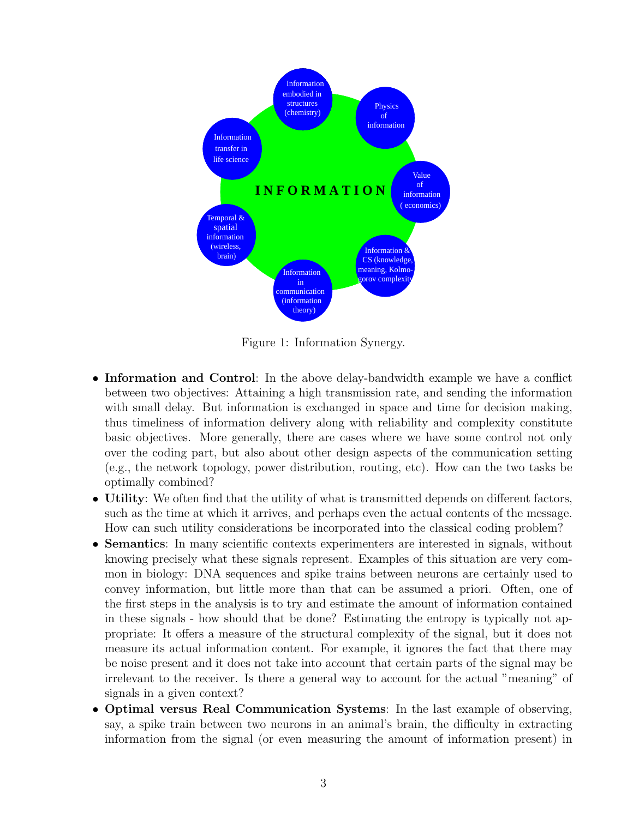

Figure 1: Information Synergy.

- Information and Control: In the above delay-bandwidth example we have a conflict between two objectives: Attaining a high transmission rate, and sending the information with small delay. But information is exchanged in space and time for decision making, thus timeliness of information delivery along with reliability and complexity constitute basic objectives. More generally, there are cases where we have some control not only over the coding part, but also about other design aspects of the communication setting (e.g., the network topology, power distribution, routing, etc). How can the two tasks be optimally combined?
- Utility: We often find that the utility of what is transmitted depends on different factors, such as the time at which it arrives, and perhaps even the actual contents of the message. How can such utility considerations be incorporated into the classical coding problem?
- Semantics: In many scientific contexts experimenters are interested in signals, without knowing precisely what these signals represent. Examples of this situation are very common in biology: DNA sequences and spike trains between neurons are certainly used to convey information, but little more than that can be assumed a priori. Often, one of the first steps in the analysis is to try and estimate the amount of information contained in these signals - how should that be done? Estimating the entropy is typically not appropriate: It offers a measure of the structural complexity of the signal, but it does not measure its actual information content. For example, it ignores the fact that there may be noise present and it does not take into account that certain parts of the signal may be irrelevant to the receiver. Is there a general way to account for the actual "meaning" of signals in a given context?
- Optimal versus Real Communication Systems: In the last example of observing, say, a spike train between two neurons in an animal's brain, the difficulty in extracting information from the signal (or even measuring the amount of information present) in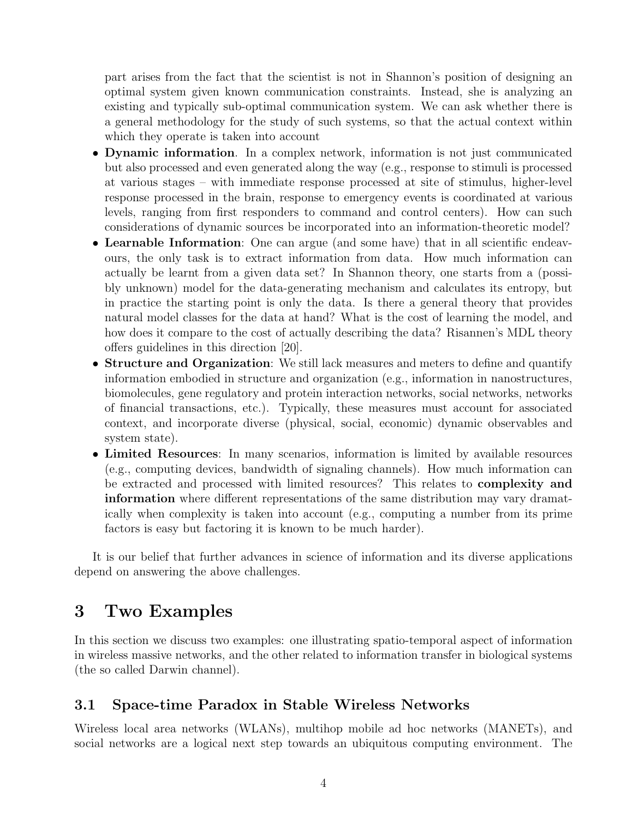part arises from the fact that the scientist is not in Shannon's position of designing an optimal system given known communication constraints. Instead, she is analyzing an existing and typically sub-optimal communication system. We can ask whether there is a general methodology for the study of such systems, so that the actual context within which they operate is taken into account

- Dynamic information. In a complex network, information is not just communicated but also processed and even generated along the way (e.g., response to stimuli is processed at various stages – with immediate response processed at site of stimulus, higher-level response processed in the brain, response to emergency events is coordinated at various levels, ranging from first responders to command and control centers). How can such considerations of dynamic sources be incorporated into an information-theoretic model?
- Learnable Information: One can argue (and some have) that in all scientific endeavours, the only task is to extract information from data. How much information can actually be learnt from a given data set? In Shannon theory, one starts from a (possibly unknown) model for the data-generating mechanism and calculates its entropy, but in practice the starting point is only the data. Is there a general theory that provides natural model classes for the data at hand? What is the cost of learning the model, and how does it compare to the cost of actually describing the data? Risannen's MDL theory offers guidelines in this direction [20].
- Structure and Organization: We still lack measures and meters to define and quantify information embodied in structure and organization (e.g., information in nanostructures, biomolecules, gene regulatory and protein interaction networks, social networks, networks of financial transactions, etc.). Typically, these measures must account for associated context, and incorporate diverse (physical, social, economic) dynamic observables and system state).
- Limited Resources: In many scenarios, information is limited by available resources (e.g., computing devices, bandwidth of signaling channels). How much information can be extracted and processed with limited resources? This relates to complexity and information where different representations of the same distribution may vary dramatically when complexity is taken into account (e.g., computing a number from its prime factors is easy but factoring it is known to be much harder).

It is our belief that further advances in science of information and its diverse applications depend on answering the above challenges.

## 3 Two Examples

In this section we discuss two examples: one illustrating spatio-temporal aspect of information in wireless massive networks, and the other related to information transfer in biological systems (the so called Darwin channel).

### 3.1 Space-time Paradox in Stable Wireless Networks

Wireless local area networks (WLANs), multihop mobile ad hoc networks (MANETs), and social networks are a logical next step towards an ubiquitous computing environment. The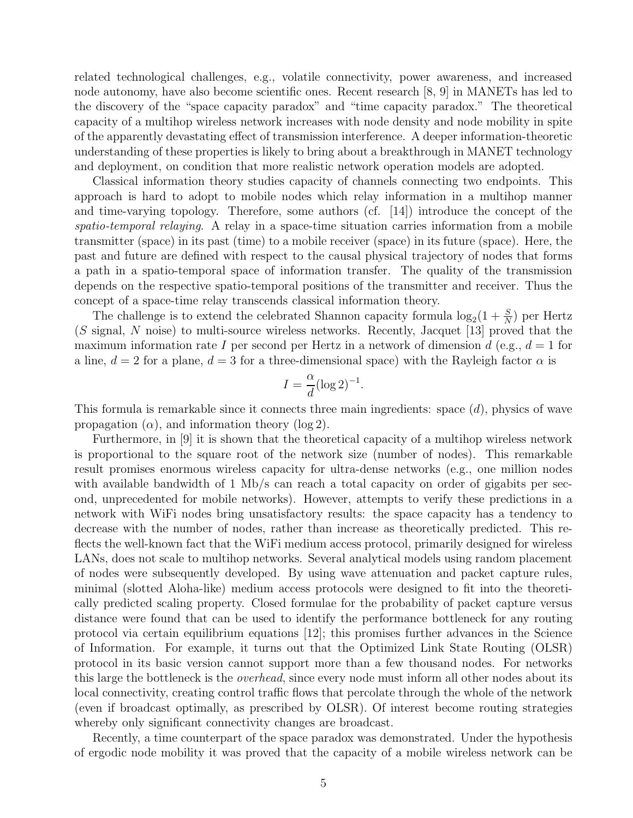related technological challenges, e.g., volatile connectivity, power awareness, and increased node autonomy, have also become scientific ones. Recent research [8, 9] in MANETs has led to the discovery of the "space capacity paradox" and "time capacity paradox." The theoretical capacity of a multihop wireless network increases with node density and node mobility in spite of the apparently devastating effect of transmission interference. A deeper information-theoretic understanding of these properties is likely to bring about a breakthrough in MANET technology and deployment, on condition that more realistic network operation models are adopted.

Classical information theory studies capacity of channels connecting two endpoints. This approach is hard to adopt to mobile nodes which relay information in a multihop manner and time-varying topology. Therefore, some authors (cf. [14]) introduce the concept of the spatio-temporal relaying. A relay in a space-time situation carries information from a mobile transmitter (space) in its past (time) to a mobile receiver (space) in its future (space). Here, the past and future are defined with respect to the causal physical trajectory of nodes that forms a path in a spatio-temporal space of information transfer. The quality of the transmission depends on the respective spatio-temporal positions of the transmitter and receiver. Thus the concept of a space-time relay transcends classical information theory.

The challenge is to extend the celebrated Shannon capacity formula  $\log_2(1+\frac{S}{N})$  per Hertz (S signal, N noise) to multi-source wireless networks. Recently, Jacquet [13] proved that the maximum information rate I per second per Hertz in a network of dimension  $d$  (e.g.,  $d = 1$  for a line,  $d = 2$  for a plane,  $d = 3$  for a three-dimensional space) with the Rayleigh factor  $\alpha$  is

$$
I = \frac{\alpha}{d} (\log 2)^{-1}.
$$

This formula is remarkable since it connects three main ingredients: space  $(d)$ , physics of wave propagation  $(\alpha)$ , and information theory  $(\log 2)$ .

Furthermore, in [9] it is shown that the theoretical capacity of a multihop wireless network is proportional to the square root of the network size (number of nodes). This remarkable result promises enormous wireless capacity for ultra-dense networks (e.g., one million nodes with available bandwidth of 1 Mb/s can reach a total capacity on order of gigabits per second, unprecedented for mobile networks). However, attempts to verify these predictions in a network with WiFi nodes bring unsatisfactory results: the space capacity has a tendency to decrease with the number of nodes, rather than increase as theoretically predicted. This reflects the well-known fact that the WiFi medium access protocol, primarily designed for wireless LANs, does not scale to multihop networks. Several analytical models using random placement of nodes were subsequently developed. By using wave attenuation and packet capture rules, minimal (slotted Aloha-like) medium access protocols were designed to fit into the theoretically predicted scaling property. Closed formulae for the probability of packet capture versus distance were found that can be used to identify the performance bottleneck for any routing protocol via certain equilibrium equations [12]; this promises further advances in the Science of Information. For example, it turns out that the Optimized Link State Routing (OLSR) protocol in its basic version cannot support more than a few thousand nodes. For networks this large the bottleneck is the *overhead*, since every node must inform all other nodes about its local connectivity, creating control traffic flows that percolate through the whole of the network (even if broadcast optimally, as prescribed by OLSR). Of interest become routing strategies whereby only significant connectivity changes are broadcast.

Recently, a time counterpart of the space paradox was demonstrated. Under the hypothesis of ergodic node mobility it was proved that the capacity of a mobile wireless network can be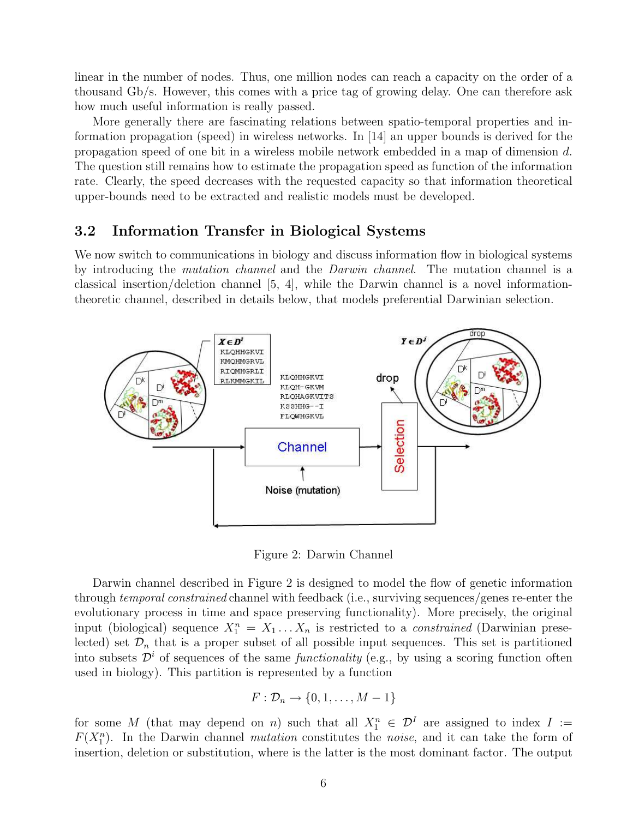linear in the number of nodes. Thus, one million nodes can reach a capacity on the order of a thousand Gb/s. However, this comes with a price tag of growing delay. One can therefore ask how much useful information is really passed.

More generally there are fascinating relations between spatio-temporal properties and information propagation (speed) in wireless networks. In [14] an upper bounds is derived for the propagation speed of one bit in a wireless mobile network embedded in a map of dimension d. The question still remains how to estimate the propagation speed as function of the information rate. Clearly, the speed decreases with the requested capacity so that information theoretical upper-bounds need to be extracted and realistic models must be developed.

#### 3.2 Information Transfer in Biological Systems

We now switch to communications in biology and discuss information flow in biological systems by introducing the *mutation channel* and the *Darwin channel*. The mutation channel is a classical insertion/deletion channel  $[5, 4]$ , while the Darwin channel is a novel informationtheoretic channel, described in details below, that models preferential Darwinian selection.



Figure 2: Darwin Channel

Darwin channel described in Figure 2 is designed to model the flow of genetic information through temporal constrained channel with feedback (i.e., surviving sequences/genes re-enter the evolutionary process in time and space preserving functionality). More precisely, the original input (biological) sequence  $X_1^n = X_1 \dots X_n$  is restricted to a *constrained* (Darwinian preselected) set  $\mathcal{D}_n$  that is a proper subset of all possible input sequences. This set is partitioned into subsets  $\mathcal{D}^i$  of sequences of the same *functionality* (e.g., by using a scoring function often used in biology). This partition is represented by a function

$$
F: \mathcal{D}_n \to \{0, 1, \dots, M - 1\}
$$

for some M (that may depend on n) such that all  $X_1^n \in \mathcal{D}^I$  are assigned to index  $I :=$  $F(X_1^n)$ . In the Darwin channel *mutation* constitutes the *noise*, and it can take the form of insertion, deletion or substitution, where is the latter is the most dominant factor. The output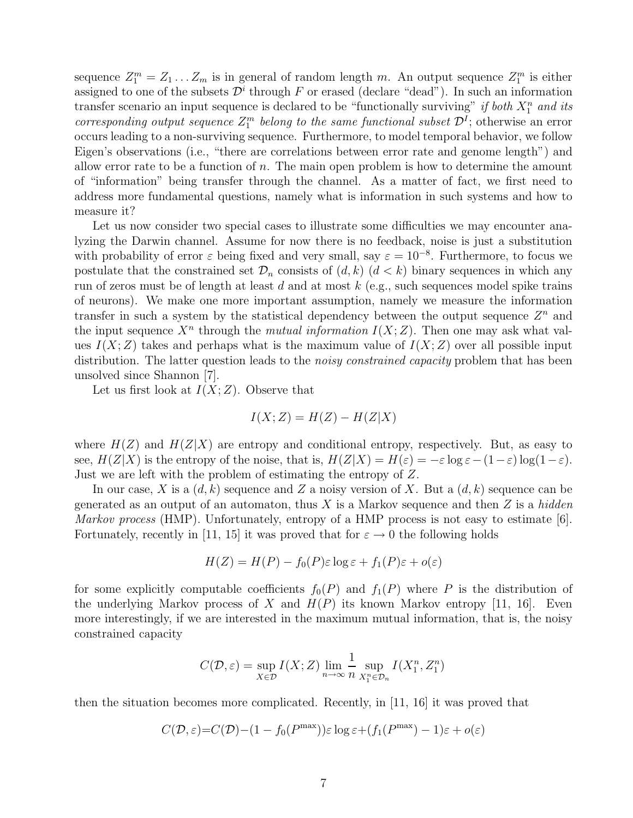sequence  $Z_1^m = Z_1 \dots Z_m$  is in general of random length m. An output sequence  $Z_1^m$  $j^{m}_{1}$  is either assigned to one of the subsets  $\mathcal{D}^i$  through F or erased (declare "dead"). In such an information transfer scenario an input sequence is declared to be "functionally surviving" if both  $X_1^n$  and its corresponding output sequence  $Z_1^m$  $\mathbb{Z}_1^m$  belong to the same functional subset  $\mathcal{D}^I$ ; otherwise an error occurs leading to a non-surviving sequence. Furthermore, to model temporal behavior, we follow Eigen's observations (i.e., "there are correlations between error rate and genome length") and allow error rate to be a function of  $n$ . The main open problem is how to determine the amount of "information" being transfer through the channel. As a matter of fact, we first need to address more fundamental questions, namely what is information in such systems and how to measure it?

Let us now consider two special cases to illustrate some difficulties we may encounter analyzing the Darwin channel. Assume for now there is no feedback, noise is just a substitution with probability of error  $\varepsilon$  being fixed and very small, say  $\varepsilon = 10^{-8}$ . Furthermore, to focus we postulate that the constrained set  $\mathcal{D}_n$  consists of  $(d, k)$   $(d < k)$  binary sequences in which any run of zeros must be of length at least d and at most  $k$  (e.g., such sequences model spike trains of neurons). We make one more important assumption, namely we measure the information transfer in such a system by the statistical dependency between the output sequence  $Z<sup>n</sup>$  and the input sequence  $X^n$  through the *mutual information*  $I(X; Z)$ . Then one may ask what values  $I(X; Z)$  takes and perhaps what is the maximum value of  $I(X; Z)$  over all possible input distribution. The latter question leads to the *noisy constrained capacity* problem that has been unsolved since Shannon [7].

Let us first look at  $I(X; Z)$ . Observe that

$$
I(X;Z) = H(Z) - H(Z|X)
$$

where  $H(Z)$  and  $H(Z|X)$  are entropy and conditional entropy, respectively. But, as easy to see,  $H(Z|X)$  is the entropy of the noise, that is,  $H(Z|X) = H(\varepsilon) = -\varepsilon \log \varepsilon - (1-\varepsilon) \log(1-\varepsilon)$ . Just we are left with the problem of estimating the entropy of Z.

In our case, X is a  $(d, k)$  sequence and Z a noisy version of X. But a  $(d, k)$  sequence can be generated as an output of an automaton, thus  $X$  is a Markov sequence and then  $Z$  is a hidden Markov process (HMP). Unfortunately, entropy of a HMP process is not easy to estimate [6]. Fortunately, recently in [11, 15] it was proved that for  $\varepsilon \to 0$  the following holds

$$
H(Z) = H(P) - f_0(P)\varepsilon \log \varepsilon + f_1(P)\varepsilon + o(\varepsilon)
$$

for some explicitly computable coefficients  $f_0(P)$  and  $f_1(P)$  where P is the distribution of the underlying Markov process of X and  $H(P)$  its known Markov entropy [11, 16]. Even more interestingly, if we are interested in the maximum mutual information, that is, the noisy constrained capacity

$$
C(\mathcal{D}, \varepsilon) = \sup_{X \in \mathcal{D}} I(X; Z) \lim_{n \to \infty} \frac{1}{n} \sup_{X_1^n \in \mathcal{D}_n} I(X_1^n, Z_1^n)
$$

then the situation becomes more complicated. Recently, in [11, 16] it was proved that

$$
C(\mathcal{D},\varepsilon){=}C(\mathcal{D}){-}(1-f_0(P^{\max}))\varepsilon\log\varepsilon{+}(f_1(P^{\max})-1)\varepsilon+o(\varepsilon)
$$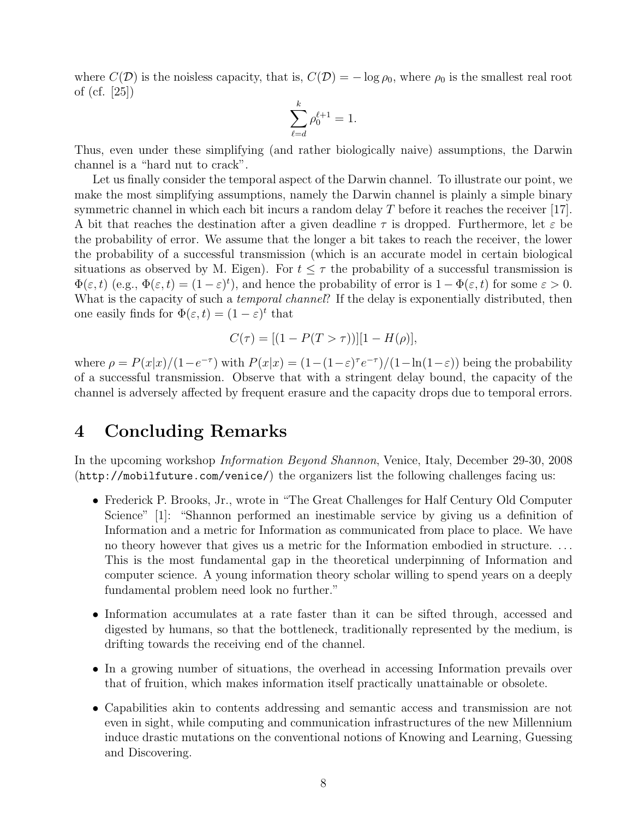where  $C(\mathcal{D})$  is the noisless capacity, that is,  $C(\mathcal{D}) = -\log \rho_0$ , where  $\rho_0$  is the smallest real root of (cf. [25])

$$
\sum_{\ell=d}^k \rho_0^{\ell+1}=1.
$$

Thus, even under these simplifying (and rather biologically naive) assumptions, the Darwin channel is a "hard nut to crack".

Let us finally consider the temporal aspect of the Darwin channel. To illustrate our point, we make the most simplifying assumptions, namely the Darwin channel is plainly a simple binary symmetric channel in which each bit incurs a random delay  $T$  before it reaches the receiver [17]. A bit that reaches the destination after a given deadline  $\tau$  is dropped. Furthermore, let  $\varepsilon$  be the probability of error. We assume that the longer a bit takes to reach the receiver, the lower the probability of a successful transmission (which is an accurate model in certain biological situations as observed by M. Eigen). For  $t \leq \tau$  the probability of a successful transmission is  $\Phi(\varepsilon, t)$  (e.g.,  $\Phi(\varepsilon, t) = (1 - \varepsilon)^t$ ), and hence the probability of error is  $1 - \Phi(\varepsilon, t)$  for some  $\varepsilon > 0$ . What is the capacity of such a *temporal channel*? If the delay is exponentially distributed, then one easily finds for  $\Phi(\varepsilon,t) = (1-\varepsilon)^t$  that

$$
C(\tau) = [(1 - P(T > \tau))][1 - H(\rho)],
$$

where  $\rho = P(x|x)/(1-e^{-\tau})$  with  $P(x|x) = (1-(1-\varepsilon)^{\tau}e^{-\tau})/(1-\ln(1-\varepsilon))$  being the probability of a successful transmission. Observe that with a stringent delay bound, the capacity of the channel is adversely affected by frequent erasure and the capacity drops due to temporal errors.

### 4 Concluding Remarks

In the upcoming workshop Information Beyond Shannon, Venice, Italy, December 29-30, 2008 (http://mobilfuture.com/venice/) the organizers list the following challenges facing us:

- Frederick P. Brooks, Jr., wrote in "The Great Challenges for Half Century Old Computer Science" [1]: "Shannon performed an inestimable service by giving us a definition of Information and a metric for Information as communicated from place to place. We have no theory however that gives us a metric for the Information embodied in structure. . . . This is the most fundamental gap in the theoretical underpinning of Information and computer science. A young information theory scholar willing to spend years on a deeply fundamental problem need look no further."
- Information accumulates at a rate faster than it can be sifted through, accessed and digested by humans, so that the bottleneck, traditionally represented by the medium, is drifting towards the receiving end of the channel.
- In a growing number of situations, the overhead in accessing Information prevails over that of fruition, which makes information itself practically unattainable or obsolete.
- Capabilities akin to contents addressing and semantic access and transmission are not even in sight, while computing and communication infrastructures of the new Millennium induce drastic mutations on the conventional notions of Knowing and Learning, Guessing and Discovering.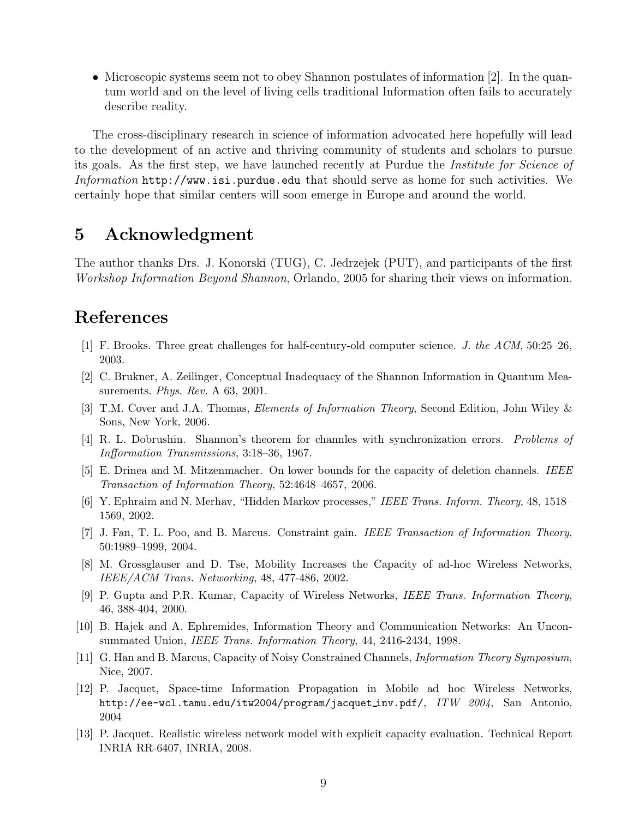• Microscopic systems seem not to obey Shannon postulates of information [2]. In the quantum world and on the level of living cells traditional Information often fails to accurately describe reality.

The cross-disciplinary research in science of information advocated here hopefully will lead to the development of an active and thriving community of students and scholars to pursue its goals. As the first step, we have launched recently at Purdue the Institute for Science of Information  $http://www.isi.purdue.edu that should serve as home for such activities. We$ certainly hope that similar centers will soon emerge in Europe and around the world.

## 5 Acknowledgment

The author thanks Drs. J. Konorski (TUG), C. Jedrzejek (PUT), and participants of the first Workshop Information Beyond Shannon, Orlando, 2005 for sharing their views on information.

## References

- [1] F. Brooks. Three great challenges for half-century-old computer science. J. the ACM, 50:25–26, 2003.
- [2] C. Brukner, A. Zeilinger, Conceptual Inadequacy of the Shannon Information in Quantum Measurements. *Phys. Rev.* A 63, 2001.
- [3] T.M. Cover and J.A. Thomas, Elements of Information Theory, Second Edition, John Wiley & Sons, New York, 2006.
- [4] R. L. Dobrushin. Shannon's theorem for channles with synchronization errors. Problems of Infformation Transmissions, 3:18–36, 1967.
- [5] E. Drinea and M. Mitzenmacher. On lower bounds for the capacity of deletion channels. IEEE Transaction of Information Theory, 52:4648–4657, 2006.
- [6] Y. Ephraim and N. Merhav, "Hidden Markov processes," IEEE Trans. Inform. Theory, 48, 1518– 1569, 2002.
- [7] J. Fan, T. L. Poo, and B. Marcus. Constraint gain. IEEE Transaction of Information Theory, 50:1989–1999, 2004.
- [8] M. Grossglauser and D. Tse, Mobility Increases the Capacity of ad-hoc Wireless Networks, IEEE/ACM Trans. Networking, 48, 477-486, 2002.
- [9] P. Gupta and P.R. Kumar, Capacity of Wireless Networks, IEEE Trans. Information Theory, 46, 388-404, 2000.
- [10] B. Hajek and A. Ephremides, Information Theory and Communication Networks: An Unconsummated Union, IEEE Trans. Information Theory, 44, 2416-2434, 1998.
- [11] G. Han and B. Marcus, Capacity of Noisy Constrained Channels, Information Theory Symposium, Nice, 2007.
- [12] P. Jacquet, Space-time Information Propagation in Mobile ad hoc Wireless Networks, http://ee-wcl.tamu.edu/itw2004/program/jacquet\_inv.pdf/, ITW 2004, San Antonio, 2004
- [13] P. Jacquet. Realistic wireless network model with explicit capacity evaluation. Technical Report INRIA RR-6407, INRIA, 2008.